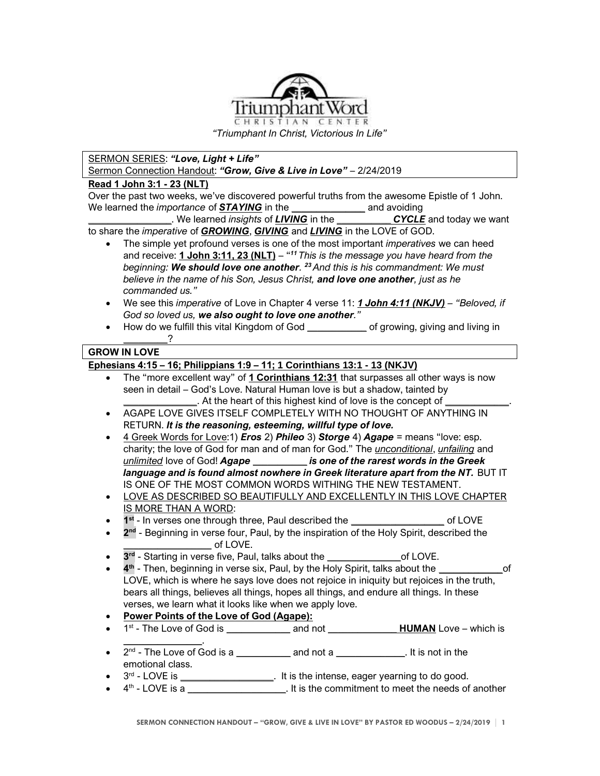

*"Triumphant In Christ, Victorious In Life"*

## SERMON SERIES: *"Love, Light + Life"*

Sermon Connection Handout: *"Grow, Give & Live in Love"* – 2/24/2019

### **Read 1 John 3:1 - 23 (NLT)**

Over the past two weeks, we've discovered powerful truths from the awesome Epistle of 1 John. We learned the *importance* of **STAYING** in the *and* avoiding

*\_\_\_\_\_\_\_\_\_\_\_\_\_\_\_\_\_*. We learned *insights* of *LIVING* in the *\_\_\_\_\_\_\_\_\_\_\_ CYCLE* and today we want to share the *imperative* of *GROWING*, *GIVING* and *LIVING* in the LOVE of GOD.

- The simple yet profound verses is one of the most important *imperatives* we can heed and receive: **1 John 3:11, 23 (NLT)** – " *<sup>11</sup> This is the message you have heard from the beginning: We should love one another. <sup>23</sup>And this is his commandment: We must believe in the name of his Son, Jesus Christ, and love one another, just as he commanded us."*
- We see this *imperative* of Love in Chapter 4 verse 11: *1 John 4:11 (NKJV) – "Beloved, if God so loved us, we also ought to love one another."*
- How do we fulfill this vital Kingdom of God *\_\_\_\_\_\_\_\_\_\_\_\_* of growing, giving and living in *\_\_\_\_\_\_\_\_\_*?

### **GROW IN LOVE**

**Ephesians 4:15 – 16; Philippians 1:9 – 11; 1 Corinthians 13:1 - 13 (NKJV)**

• The "more excellent way" of **1 Corinthians 12:31** that surpasses all other ways is now seen in detail – God's Love. Natural Human love is but a shadow, tainted by *\_\_\_\_\_\_\_\_\_\_\_\_\_\_\_*. At the heart of this highest kind of love is the concept of *\_\_\_\_\_\_\_\_\_\_\_\_\_*. • AGAPE LOVE GIVES ITSELF COMPLETELY WITH NO THOUGHT OF ANYTHING IN RETURN. *It is the reasoning, esteeming, willful type of love.* • 4 Greek Words for Love:1) *Eros* 2) *Phileo* 3) *Storge* 4) *Agape* = means "love: esp. charity; the love of God for man and of man for God." The *unconditional*, *unfailing* and *unlimited* love of God! *Agape \_\_\_\_\_\_\_\_\_\_\_ is one of the rarest words in the Greek language and is found almost nowhere in Greek literature apart from the NT.* BUT IT IS ONE OF THE MOST COMMON WORDS WITHING THE NEW TESTAMENT. LOVE AS DESCRIBED SO BEAUTIFULLY AND EXCELLENTLY IN THIS LOVE CHAPTER IS MORE THAN A WORD: • 1<sup>st</sup> - In verses one through three, Paul described the \_\_\_\_\_\_\_\_\_\_\_\_\_\_\_\_\_\_\_\_\_\_ of LOVE • **2** <sup>nd</sup> - Beginning in verse four, Paul, by the inspiration of the Holy Spirit, described the *\_\_\_\_\_\_\_\_\_\_\_\_\_\_\_\_\_\_* of LOVE. • **3 rd** - Starting in verse five, Paul, talks about the *\_\_\_\_\_\_\_\_\_\_\_\_\_\_\_*of LOVE. • **4 th** - Then, beginning in verse six, Paul, by the Holy Spirit, talks about the *\_\_\_\_\_\_\_\_\_\_\_\_\_*of LOVE, which is where he says love does not rejoice in iniquity but rejoices in the truth, bears all things, believes all things, hopes all things, and endure all things. In these verses, we learn what it looks like when we apply love. • **Power Points of the Love of God (Agape):**  • 1 st - The Love of God is **\_\_\_\_\_\_\_\_\_\_\_\_\_** and not **\_\_\_\_\_\_\_\_\_\_\_\_\_\_ HUMAN** Love – which is **\_\_\_\_\_\_\_\_\_\_\_\_\_\_\_\_**. • 2<sup>nd</sup> - The Love of God is a <u>\_\_\_\_\_\_\_\_\_\_</u> and not a \_\_\_\_\_\_\_\_\_\_\_\_. It is not in the emotional class. • 3<sup>rd</sup> - LOVE is \_\_\_\_\_\_\_\_\_\_\_\_\_\_\_\_\_. It is the intense, eager yearning to do good. • 4<sup>th</sup> - LOVE is a \_\_\_\_\_\_\_\_\_\_\_\_\_\_\_\_\_\_\_\_. It is the commitment to meet the needs of another